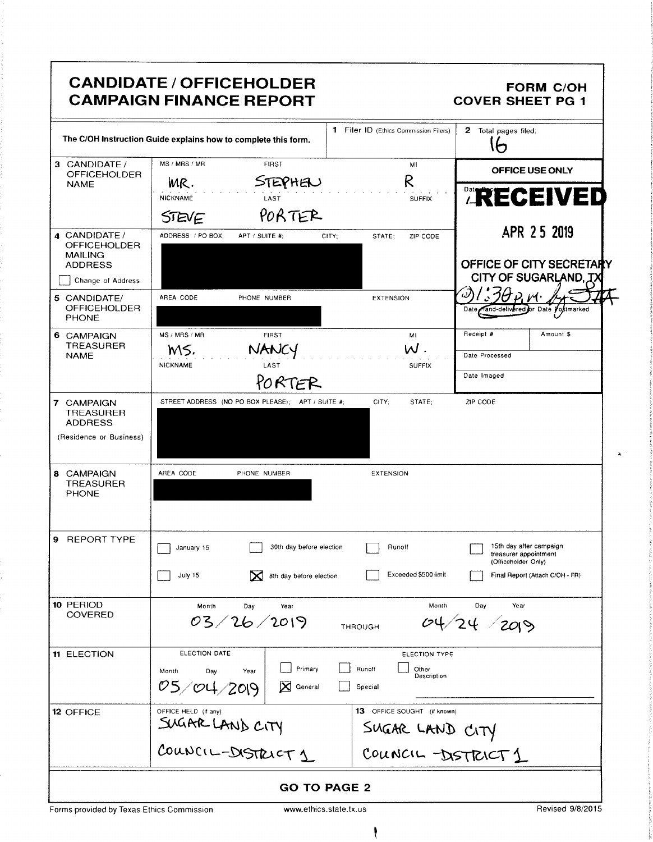|                                                                         | <b>CANDIDATE / OFFICEHOLDER</b><br><b>CAMPAIGN FINANCE REPORT</b> |                                                       | <b>FORM C/OH</b><br><b>COVER SHEET PG 1</b>                             |
|-------------------------------------------------------------------------|-------------------------------------------------------------------|-------------------------------------------------------|-------------------------------------------------------------------------|
|                                                                         | The C/OH Instruction Guide explains how to complete this form.    | 1 Filer ID (Ethics Commission Filers)                 | 2 Total pages filed:<br>わ                                               |
| 3 CANDIDATE /<br><b>OFFICEHOLDER</b>                                    | MS / MRS / MR<br><b>FIRST</b>                                     | MI                                                    | OFFICE USE ONLY                                                         |
| <b>NAME</b>                                                             | STEPHEN<br>MR.<br><b>NICKNAME</b><br>LAST                         | R<br><b>SUFFIX</b>                                    | <b>ARECEIVED</b>                                                        |
|                                                                         | PORTER<br>STEVE                                                   |                                                       | APR 25 2019                                                             |
| 4 CANDIDATE/<br><b>OFFICEHOLDER</b><br><b>MAILING</b><br><b>ADDRESS</b> | ADDRESS / PO BOX;<br>APT / SUITE #:<br>CITY;                      | STATE;<br>ZIP CODE                                    | OFFICE OF CITY SECRETARY                                                |
| Change of Address                                                       |                                                                   |                                                       | CITY OF SUGARLAND, TX                                                   |
| 5 CANDIDATE/<br><b>OFFICEHOLDER</b><br><b>PHONE</b>                     | AREA CODE<br>PHONE NUMBER                                         | <b>EXTENSION</b>                                      | 'I<br>Date Hand-delivered or Date Postmarked                            |
| 6 CAMPAIGN                                                              | MS / MRS / MR<br><b>FIRST</b>                                     | MI                                                    | Receipt #<br>Amount \$                                                  |
| TREASURER<br><b>NAME</b>                                                | NANCY<br>MS,<br>NICKNAME<br>LAST                                  | $W$ .<br><b>SUFFIX</b>                                | Date Processed                                                          |
|                                                                         | PORTER                                                            |                                                       | Date Imaged                                                             |
| 7 CAMPAIGN<br><b>TREASURER</b><br><b>ADDRESS</b>                        | STREET ADDRESS (NO PO BOX PLEASE); APT / SUITE #;                 | CITY;<br>STATE;                                       | ZIP CODE                                                                |
| (Residence or Business)                                                 |                                                                   |                                                       |                                                                         |
| 8 CAMPAIGN<br><b>TREASURER</b><br><b>PHONE</b>                          | AREA CODE<br>PHONE NUMBER                                         | <b>EXTENSION</b>                                      |                                                                         |
| 9.<br>REPORT TYPE                                                       | 30th day before election<br>January 15                            | Runoff                                                | 15th day after campaign<br>treasurer appointment<br>(Officeholder Only) |
|                                                                         | July 15<br>⋈<br>8th day before election                           | Exceeded \$500 limit                                  | Final Report (Attach C/OH - FR)                                         |
| 10 PERIOD<br><b>COVERED</b>                                             | Month<br>Day<br>Year<br>03/26/2019                                | Month<br>THROUGH                                      | Day<br>Year<br>04/24 / 2019                                             |
| 11 ELECTION                                                             | ELECTION DATE<br>Primary                                          | ELECTION TYPE<br>Runoff                               |                                                                         |
|                                                                         | Month<br>Day<br>Year<br>05/04/2019<br>⊠<br>General                | Other<br>Description<br>Special                       |                                                                         |
| <b>12 OFFICE</b>                                                        | OFFICE HELD (if any)                                              | <b>13</b> OFFICE SOUGHT (if known)<br>SUGAR LAND CITY |                                                                         |
|                                                                         | SUGAR LAND CITY                                                   | COUNCIL -DISTRICT1                                    |                                                                         |
|                                                                         | <b>GO TO PAGE 2</b>                                               |                                                       |                                                                         |

Forms provided by Texas Ethics Commission

 $\ddot{\phantom{a}}$ 

www.ethics.state.tx.us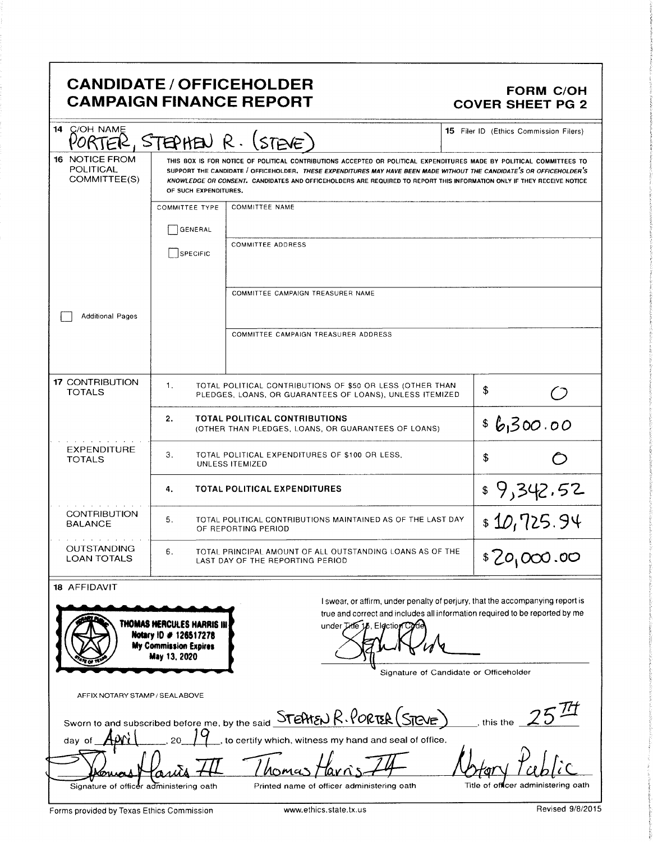### **CANDIDATE / OFFICEHOLDER CAMPAIGN FINANCE REPORT**

#### **FORM C/OH COVER SHEET PG 2**

| 14 C/OH NAME                                                                                                         |                                                                                                         | $\bar{P}$ , STEPHEN R. (STEVE)                                                                                                                                                                                                                                                                                                                                          | <b>15</b> Filer ID (Ethics Commission Filers) |  |  |
|----------------------------------------------------------------------------------------------------------------------|---------------------------------------------------------------------------------------------------------|-------------------------------------------------------------------------------------------------------------------------------------------------------------------------------------------------------------------------------------------------------------------------------------------------------------------------------------------------------------------------|-----------------------------------------------|--|--|
| <b>16 NOTICE FROM</b><br>POLITICAL<br>COMMITTEE(S)                                                                   | OF SUCH EXPENDITURES.                                                                                   | THIS BOX IS FOR NOTICE OF POLITICAL CONTRIBUTIONS ACCEPTED OR POLITICAL EXPENDITURES MADE BY POLITICAL COMMITTEES TO<br>SUPPORT THE CANDIDATE / OFFICEHOLDER. THESE EXPENDITURES MAY HAVE BEEN MADE WITHOUT THE CANDIDATE'S OR OFFICEHOLDER'S<br>KNOWLEDGE OR CONSENT. CANDIDATES AND OFFICEHOLDERS ARE REQUIRED TO REPORT THIS INFORMATION ONLY IF THEY RECEIVE NOTICE |                                               |  |  |
|                                                                                                                      | <b>COMMITTEE TYPE</b><br>GENERAL<br>SPECIFIC                                                            | <b>COMMITTEE NAME</b><br><b>COMMITTEE ADDRESS</b>                                                                                                                                                                                                                                                                                                                       |                                               |  |  |
| <b>Additional Pages</b>                                                                                              |                                                                                                         | COMMITTEE CAMPAIGN TREASURER NAME                                                                                                                                                                                                                                                                                                                                       |                                               |  |  |
|                                                                                                                      |                                                                                                         | COMMITTEE CAMPAIGN TREASURER ADDRESS                                                                                                                                                                                                                                                                                                                                    |                                               |  |  |
| <b>17 CONTRIBUTION</b><br><b>TOTALS</b>                                                                              | 1.                                                                                                      | TOTAL POLITICAL CONTRIBUTIONS OF \$50 OR LESS (OTHER THAN<br>PLEDGES, LOANS, OR GUARANTEES OF LOANS), UNLESS ITEMIZED                                                                                                                                                                                                                                                   | \$                                            |  |  |
|                                                                                                                      | 2.                                                                                                      | <b>TOTAL POLITICAL CONTRIBUTIONS</b><br>(OTHER THAN PLEDGES, LOANS, OR GUARANTEES OF LOANS)                                                                                                                                                                                                                                                                             | \$6,300.00                                    |  |  |
| <b>EXPENDITURE</b><br>3.<br>TOTAL POLITICAL EXPENDITURES OF \$100 OR LESS,<br>\$<br><b>TOTALS</b><br>UNLESS ITEMIZED |                                                                                                         |                                                                                                                                                                                                                                                                                                                                                                         |                                               |  |  |
|                                                                                                                      | \$9,342.52<br><b>TOTAL POLITICAL EXPENDITURES</b><br>4.                                                 |                                                                                                                                                                                                                                                                                                                                                                         |                                               |  |  |
| <b>CONTRIBUTION</b><br><b>BALANCE</b>                                                                                | \$10,725.94<br>5.<br>TOTAL POLITICAL CONTRIBUTIONS MAINTAINED AS OF THE LAST DAY<br>OF REPORTING PERIOD |                                                                                                                                                                                                                                                                                                                                                                         |                                               |  |  |
| <b>OUTSTANDING</b><br><b>LOAN TOTALS</b>                                                                             | 6.                                                                                                      | TOTAL PRINCIPAL AMOUNT OF ALL OUTSTANDING LOANS AS OF THE<br>LAST DAY OF THE REPORTING PERIOD                                                                                                                                                                                                                                                                           | \$20,000.00                                   |  |  |
| 18 AFFIDAVIT                                                                                                         | THOMAS HERCULES HARRIS III<br>Notary ID # 126517278<br><b>My Commission Expires</b><br>May 13, 2020     | I swear, or affirm, under penalty of perjury, that the accompanying report is<br>true and correct and includes all information required to be reported by me<br>under Title 15. Election Code<br>Signature of Candidate or Officeholder                                                                                                                                 |                                               |  |  |
| AFFIX NOTARY STAMP / SEALABOVE                                                                                       |                                                                                                         |                                                                                                                                                                                                                                                                                                                                                                         |                                               |  |  |
| day of                                                                                                               |                                                                                                         | Sworn to and subscribed before me, by the said <b>STEHEN R. PORTER (STEVE)</b><br>to certify which, witness my hand and seal of office.                                                                                                                                                                                                                                 | this the                                      |  |  |
| Signature of officer administering oath                                                                              |                                                                                                         | Printed name of officer administering oath                                                                                                                                                                                                                                                                                                                              | Title of officer administering oath           |  |  |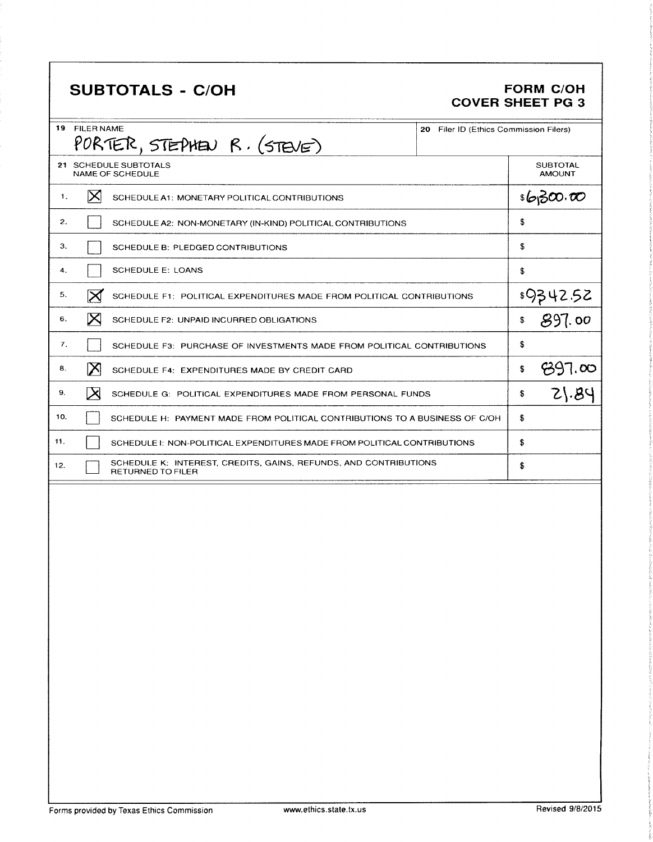# SUBTOTALS - C/OH FORM C/OH

# COVER SHEET PG 3

| 19  | <b>FILER NAME</b><br>PORTER, STEPHEN R. (STEVE)                                              | 20 Filer ID (Ethics Commission Filers) |                                  |  |
|-----|----------------------------------------------------------------------------------------------|----------------------------------------|----------------------------------|--|
|     | 21 SCHEDULE SUBTOTALS<br><b>NAME OF SCHEDULE</b>                                             |                                        | <b>SUBTOTAL</b><br><b>AMOUNT</b> |  |
| 1.  | $\bowtie$<br>SCHEDULE A1: MONETARY POLITICAL CONTRIBUTIONS                                   |                                        | \$630.00                         |  |
| 2.  | SCHEDULE A2: NON-MONETARY (IN-KIND) POLITICAL CONTRIBUTIONS                                  | \$                                     |                                  |  |
| 3.  | SCHEDULE B: PLEDGED CONTRIBUTIONS                                                            | \$                                     |                                  |  |
| 4.  | <b>SCHEDULE E: LOANS</b>                                                                     | \$                                     |                                  |  |
| 5.  | $\boxtimes$<br>SCHEDULE F1: POLITICAL EXPENDITURES MADE FROM POLITICAL CONTRIBUTIONS         |                                        | \$9342.52                        |  |
| 6.  | ⋉<br>SCHEDULE F2: UNPAID INCURRED OBLIGATIONS                                                | \$                                     | 897.00                           |  |
| 7.  | SCHEDULE F3: PURCHASE OF INVESTMENTS MADE FROM POLITICAL CONTRIBUTIONS                       | \$                                     |                                  |  |
| 8.  | $\bm{\times}$<br>SCHEDULE F4: EXPENDITURES MADE BY CREDIT CARD                               | \$                                     | 897.00                           |  |
| 9.  | IХ<br>SCHEDULE G: POLITICAL EXPENDITURES MADE FROM PERSONAL FUNDS                            | \$                                     | 21.84                            |  |
| 10. | SCHEDULE H: PAYMENT MADE FROM POLITICAL CONTRIBUTIONS TO A BUSINESS OF C/OH                  | \$                                     |                                  |  |
| 11. | SCHEDULE I: NON-POLITICAL EXPENDITURES MADE FROM POLITICAL CONTRIBUTIONS                     | \$                                     |                                  |  |
| 12. | SCHEDULE K: INTEREST, CREDITS, GAINS, REFUNDS, AND CONTRIBUTIONS<br><b>RETURNED TO FILER</b> | \$                                     |                                  |  |
|     |                                                                                              |                                        |                                  |  |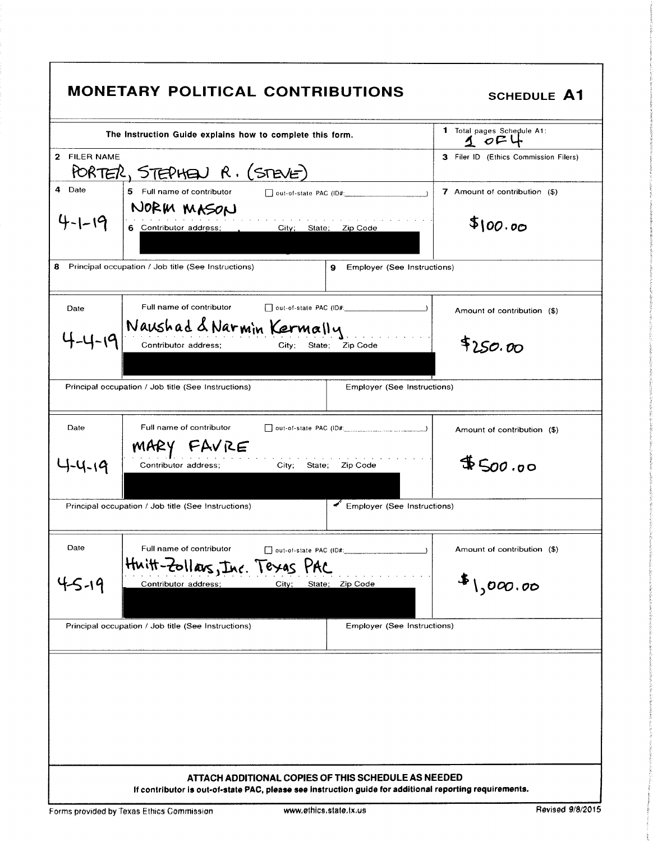|              | The Instruction Guide explains how to complete this form.                                      | 1 Total pages Schedule A1:<br>$1$ $0F$ |
|--------------|------------------------------------------------------------------------------------------------|----------------------------------------|
| 2 FILER NAME | PORTER, STEPHEN R. (STEVE)                                                                     | 3 Filer ID (Ethics Commission Filers)  |
| 4 Date       | 5 Full name of contributor<br>out-of-state PAC (ID#:                                           | 7 Amount of contribution (\$)          |
| -1-19        | NORM MASON<br>6 Contributor address;<br>City; State; Zip Code                                  | \$100.00                               |
| 8            | Principal occupation / Job title (See Instructions)<br>Employer (See Instructions)<br>9        |                                        |
| Date         | Full name of contributor                                                                       | Amount of contribution (\$)            |
|              | Naushad & Narmin Kermally<br>Contributor address:<br>Zip Code<br>City;<br>State:               | \$250.00                               |
|              | Principal occupation / Job title (See Instructions)<br>Employer (See Instructions)             |                                        |
| Date         | Full name of contributor<br>$\Box$ out-of-state PAC (ID#: $\Box$ $\Box$ $\Box$ $\Box$ $\Box$ ) | Amount of contribution (\$)            |
| 1-4-19       | MARY FAVRE<br>Contributor address;<br>City; State; Zip Code                                    | 4500.00                                |
|              | Employer (See Instructions)<br>Principal occupation / Job title (See Instructions)             |                                        |
| Date         | Full name of contributor<br>Huitt-Zollars, Inc. Texas PAC                                      | Amount of contribution (\$)            |
| 4-5-19       | Contributor address;<br>State;<br>Zip Code<br>City;                                            | $\frac{1}{2}$ 1,000.00                 |
|              | Principal occupation / Job title (See Instructions)<br>Employer (See Instructions)             |                                        |
|              |                                                                                                |                                        |
|              |                                                                                                |                                        |
|              |                                                                                                |                                        |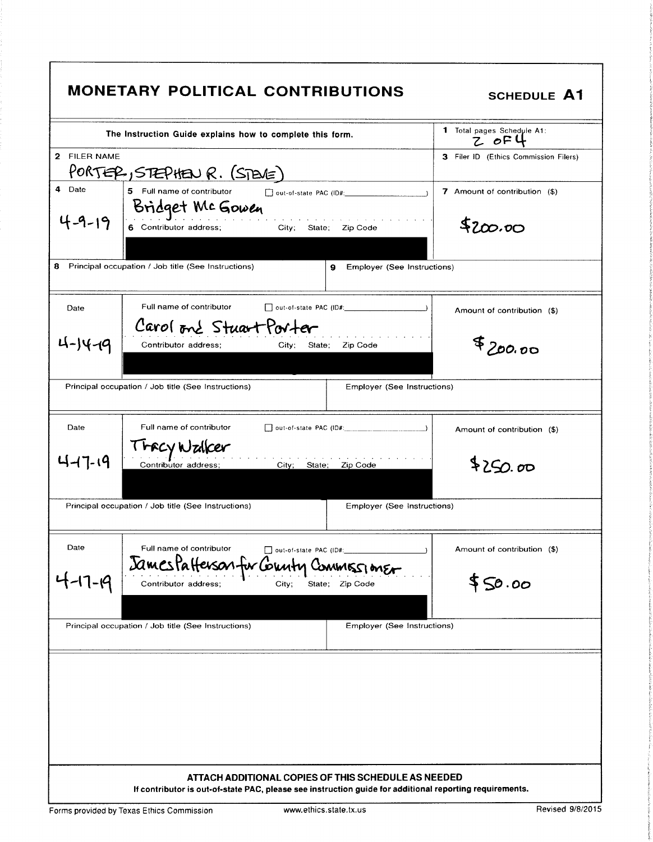| PORTER, STEPHEN R. (STEVE)<br>5 Full name of contributor<br>7 Amount of contribution (\$)<br>Bridget McGowen<br>\$200.00<br>City; State; Zip Code<br>6 Contributor address;<br>Employer (See Instructions)<br>9<br>Full name of contributor<br>Date<br>Amount of contribution (\$)<br>Carol one Stuart Porter<br>\$700.00<br>Contributor address:<br>City:<br>State;<br>Zip Code<br>Principal occupation / Job title (See Instructions)<br>Employer (See Instructions)<br>Date<br>Full name of contributor<br>Amount of contribution (\$)<br><i><b>FFCY Walker</b></i><br>\$250.00<br>Contributor address;<br>City; State; Zip Code<br>Principal occupation / Job title (See Instructions)<br><b>Employer (See Instructions)</b> |              | The Instruction Guide explains how to complete this form. | 1 Total pages Schedule A1:<br>Z OFU   |
|----------------------------------------------------------------------------------------------------------------------------------------------------------------------------------------------------------------------------------------------------------------------------------------------------------------------------------------------------------------------------------------------------------------------------------------------------------------------------------------------------------------------------------------------------------------------------------------------------------------------------------------------------------------------------------------------------------------------------------|--------------|-----------------------------------------------------------|---------------------------------------|
|                                                                                                                                                                                                                                                                                                                                                                                                                                                                                                                                                                                                                                                                                                                                  | 2 FILER NAME |                                                           | 3 Filer ID (Ethics Commission Filers) |
| 8 Principal occupation / Job title (See Instructions)<br>4-14-19<br>4-17-19                                                                                                                                                                                                                                                                                                                                                                                                                                                                                                                                                                                                                                                      | 4 Date       |                                                           |                                       |
|                                                                                                                                                                                                                                                                                                                                                                                                                                                                                                                                                                                                                                                                                                                                  |              |                                                           |                                       |
|                                                                                                                                                                                                                                                                                                                                                                                                                                                                                                                                                                                                                                                                                                                                  |              |                                                           |                                       |
|                                                                                                                                                                                                                                                                                                                                                                                                                                                                                                                                                                                                                                                                                                                                  |              |                                                           |                                       |
|                                                                                                                                                                                                                                                                                                                                                                                                                                                                                                                                                                                                                                                                                                                                  |              |                                                           |                                       |
|                                                                                                                                                                                                                                                                                                                                                                                                                                                                                                                                                                                                                                                                                                                                  |              |                                                           |                                       |
|                                                                                                                                                                                                                                                                                                                                                                                                                                                                                                                                                                                                                                                                                                                                  |              |                                                           |                                       |
|                                                                                                                                                                                                                                                                                                                                                                                                                                                                                                                                                                                                                                                                                                                                  |              |                                                           |                                       |
|                                                                                                                                                                                                                                                                                                                                                                                                                                                                                                                                                                                                                                                                                                                                  |              |                                                           |                                       |
| Date<br>Full name of contributor<br>Amount of contribution (\$)<br>out-of-state PAC (ID#:<br>James Patterson for County CommissionEr                                                                                                                                                                                                                                                                                                                                                                                                                                                                                                                                                                                             |              |                                                           |                                       |
| -17-19<br>\$50.00<br>Contributor address;<br>State; Zip Code<br>City:                                                                                                                                                                                                                                                                                                                                                                                                                                                                                                                                                                                                                                                            |              |                                                           |                                       |
| Principal occupation / Job title (See Instructions)<br>Employer (See Instructions)                                                                                                                                                                                                                                                                                                                                                                                                                                                                                                                                                                                                                                               |              |                                                           |                                       |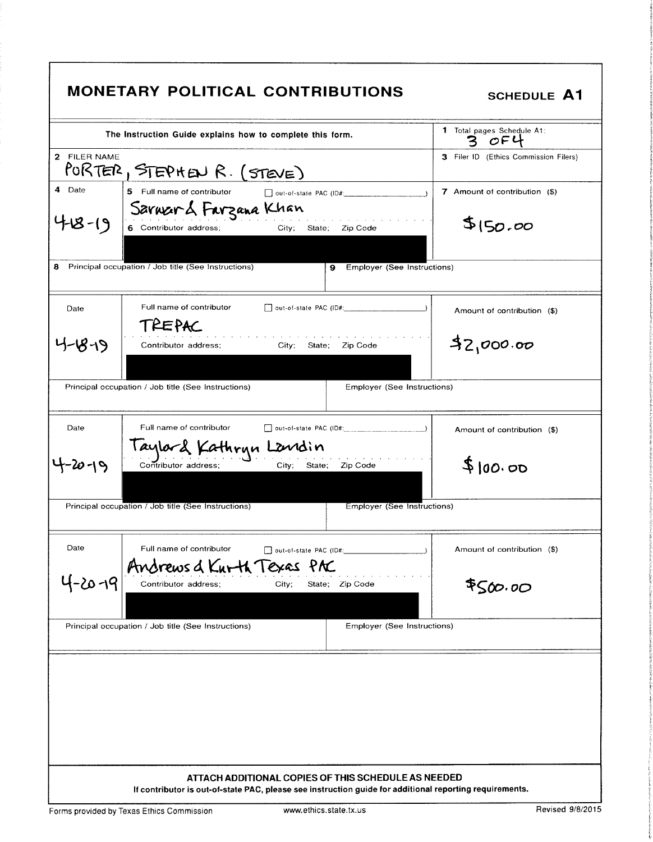| 2 FILER NAME<br>3 Filer ID (Ethics Commission Filers)<br>PORTER, STEPHEN R. (STEVE)<br>4 Date<br>5 Full name of contributor<br>7 Amount of contribution (\$)<br>$\Box$ out-of-state PAC (ID#: $\Box$ )<br>Sarward Farzana Khan<br>\$150.00<br>City; State; Zip Code<br>6 Contributor address;<br><b>9</b> Employer (See Instructions)<br>Full name of contributor<br>Date<br>Amount of contribution (\$)<br>TREPAC<br>32,000.00<br>7-1879<br>Contributor address:<br>City; State; Zip Code<br>Principal occupation / Job title (See Instructions)<br>Employer (See Instructions)<br>Full name of contributor<br>Date<br>□ out-of-state PAC (ID#: ____ ____ ____________)<br>Amount of contribution (\$)<br>Taylard Kathryn Landin<br>\$100.00<br>City; State; Zip Code<br>Contributor address;<br>Principal occupation / Job title (See Instructions)<br>Employer (See Instructions)<br>Date<br>Full name of contributor<br>Amount of contribution (\$)<br>out-of-state PAC (ID#:<br>Andrews & Knrth Texas PAC<br>4-20-19<br>\$500.00<br>Contributor address;<br>City;<br>State; Zip Code<br>Principal occupation / Job title (See Instructions)<br>Employer (See Instructions) |  |
|---------------------------------------------------------------------------------------------------------------------------------------------------------------------------------------------------------------------------------------------------------------------------------------------------------------------------------------------------------------------------------------------------------------------------------------------------------------------------------------------------------------------------------------------------------------------------------------------------------------------------------------------------------------------------------------------------------------------------------------------------------------------------------------------------------------------------------------------------------------------------------------------------------------------------------------------------------------------------------------------------------------------------------------------------------------------------------------------------------------------------------------------------------------------------------|--|
|                                                                                                                                                                                                                                                                                                                                                                                                                                                                                                                                                                                                                                                                                                                                                                                                                                                                                                                                                                                                                                                                                                                                                                                 |  |
| 8 Principal occupation / Job title (See Instructions)                                                                                                                                                                                                                                                                                                                                                                                                                                                                                                                                                                                                                                                                                                                                                                                                                                                                                                                                                                                                                                                                                                                           |  |
|                                                                                                                                                                                                                                                                                                                                                                                                                                                                                                                                                                                                                                                                                                                                                                                                                                                                                                                                                                                                                                                                                                                                                                                 |  |
|                                                                                                                                                                                                                                                                                                                                                                                                                                                                                                                                                                                                                                                                                                                                                                                                                                                                                                                                                                                                                                                                                                                                                                                 |  |
|                                                                                                                                                                                                                                                                                                                                                                                                                                                                                                                                                                                                                                                                                                                                                                                                                                                                                                                                                                                                                                                                                                                                                                                 |  |
|                                                                                                                                                                                                                                                                                                                                                                                                                                                                                                                                                                                                                                                                                                                                                                                                                                                                                                                                                                                                                                                                                                                                                                                 |  |
|                                                                                                                                                                                                                                                                                                                                                                                                                                                                                                                                                                                                                                                                                                                                                                                                                                                                                                                                                                                                                                                                                                                                                                                 |  |
|                                                                                                                                                                                                                                                                                                                                                                                                                                                                                                                                                                                                                                                                                                                                                                                                                                                                                                                                                                                                                                                                                                                                                                                 |  |
|                                                                                                                                                                                                                                                                                                                                                                                                                                                                                                                                                                                                                                                                                                                                                                                                                                                                                                                                                                                                                                                                                                                                                                                 |  |
|                                                                                                                                                                                                                                                                                                                                                                                                                                                                                                                                                                                                                                                                                                                                                                                                                                                                                                                                                                                                                                                                                                                                                                                 |  |
|                                                                                                                                                                                                                                                                                                                                                                                                                                                                                                                                                                                                                                                                                                                                                                                                                                                                                                                                                                                                                                                                                                                                                                                 |  |
|                                                                                                                                                                                                                                                                                                                                                                                                                                                                                                                                                                                                                                                                                                                                                                                                                                                                                                                                                                                                                                                                                                                                                                                 |  |
|                                                                                                                                                                                                                                                                                                                                                                                                                                                                                                                                                                                                                                                                                                                                                                                                                                                                                                                                                                                                                                                                                                                                                                                 |  |

k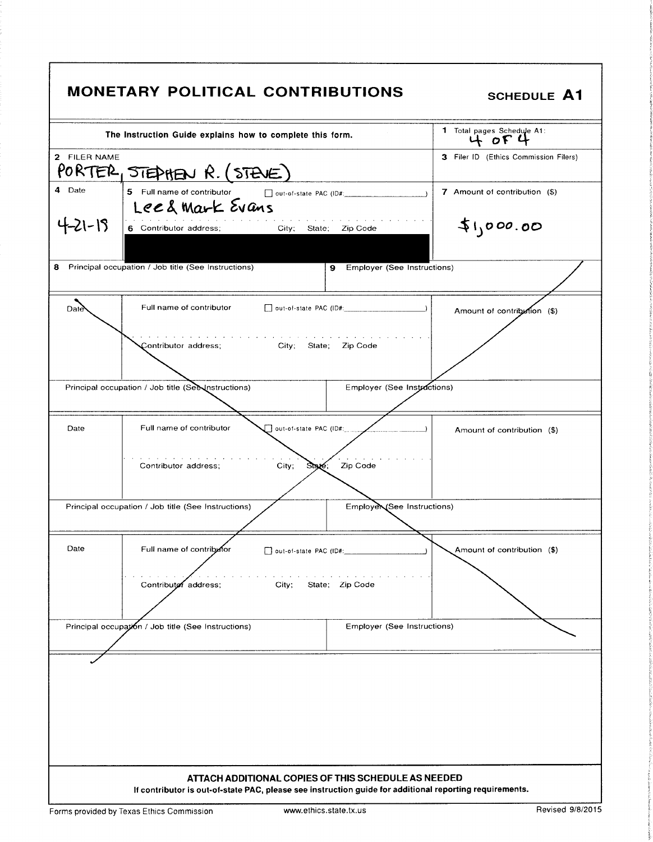|              | <b>MONETARY POLITICAL CONTRIBUTIONS</b>                                                                                                                        | <b>SCHEDULE A1</b>                    |
|--------------|----------------------------------------------------------------------------------------------------------------------------------------------------------------|---------------------------------------|
|              | The Instruction Guide explains how to complete this form.                                                                                                      | 1 Total pages Schedule A1:<br>4004    |
| 2 FILER NAME | PORTER, STEDHEN R. (STEVE)                                                                                                                                     | 3 Filer ID (Ethics Commission Filers) |
| 4 Date       | 5 Full name of contributor and out-of-state PAC (ID#: __________________________<br>Leed Mark Evans                                                            | 7 Amount of contribution (\$)         |
| 4-21-19      | the contract of the contract of the con-<br>6 Contributor address;<br>City; State; Zip Code                                                                    | 51,000.00                             |
| 8.           | Principal occupation / Job title (See Instructions)                                                                                                            | 9 Employer (See Instructions)         |
| Date         | Full name of contributor                                                                                                                                       | Amount of contribution (\$)           |
|              | the contract of the contract of the contract of the contract of the contract of the contract of<br>Contributor address; City; State; Zip Code                  |                                       |
|              | Principal occupation / Job title (See Instructions)                                                                                                            | Employer (See Instractions)           |
| Date         | out-of-state PAC (ID#:<br>Full name of contributor                                                                                                             | Amount of contribution (\$)           |
|              | Contributor address;<br>City;<br>Zip Code<br>State,                                                                                                            |                                       |
|              | Principal occupation / Job title (See Instructions)                                                                                                            | EmployeN/See Instructions)            |
| Date         | Full name of contributor<br>out-of-state PAC (ID#:                                                                                                             | Amount of contribution (\$)           |
|              | State: Zip Code<br>Contributof address;<br>City;                                                                                                               |                                       |
|              | Principal occupation / Job title (See Instructions)                                                                                                            | Employer (See Instructions)           |
|              |                                                                                                                                                                |                                       |
|              | ATTACH ADDITIONAL COPIES OF THIS SCHEDULE AS NEEDED<br>If contributor is out-of-state PAC, please see instruction guide for additional reporting requirements. |                                       |

l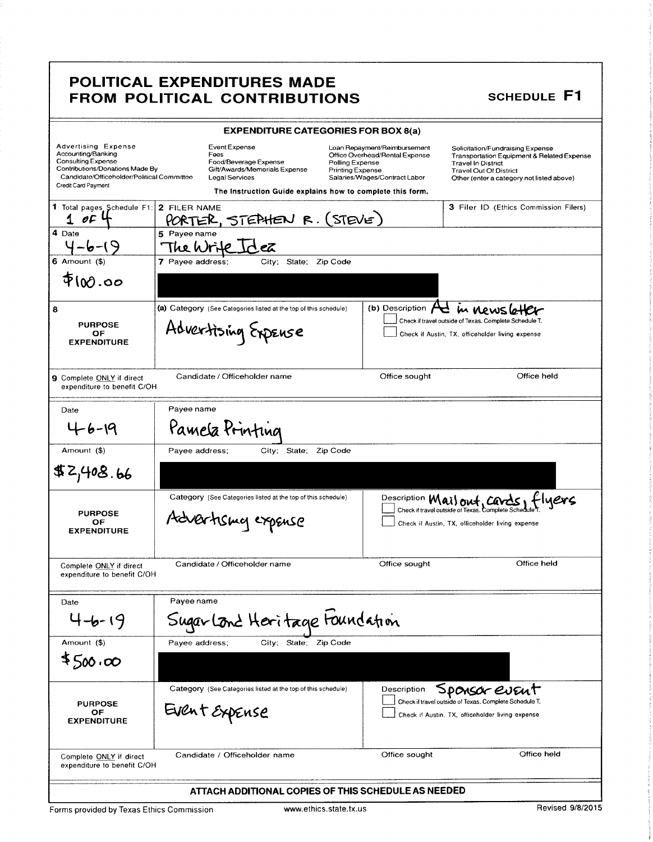#### POLITICAL EXPENDITURES MADE FROM POLITICAL CONTRIBUTIONS

|                                                                                                                                                                                       |                                                                                         |                                                              | <b>EXPENDITURE CATEGORIES FOR BOX 8(a)</b>                                                                                                                                                                 |                                                                                                                                                                                           |
|---------------------------------------------------------------------------------------------------------------------------------------------------------------------------------------|-----------------------------------------------------------------------------------------|--------------------------------------------------------------|------------------------------------------------------------------------------------------------------------------------------------------------------------------------------------------------------------|-------------------------------------------------------------------------------------------------------------------------------------------------------------------------------------------|
| <b>Advertising Expense</b><br>Accounting/Banking<br><b>Consulting Expense</b><br>Contributions/Donations Made By<br>Candidate/Officeholder/Political Committee<br>Credit Card Payment | <b>Event Expense</b><br>Fees<br>Legal Services                                          | Food/Beverage Expense<br>Gift/Awards/Memorials Expense       | Loan Repayment/Reimbursement<br>Office Overhead/Rental Expense<br>Polling Expense<br><b>Printing Expense</b><br>Salaries/Wages/Contract Labor<br>The Instruction Guide explains how to complete this form. | Solicitation/Fundraising Expense<br>Transportation Equipment & Related Expense<br><b>Travel In District</b><br><b>Travel Out Of District</b><br>Other (enter a category not listed above) |
| 1 Total pages Schedule F1:<br>$1$ of                                                                                                                                                  | 2 FILER NAME<br>PORTER, STEPHEN R. (STEVE)                                              |                                                              |                                                                                                                                                                                                            | 3 Filer ID (Ethics Commission Filers)                                                                                                                                                     |
| 4 Date<br>$4 - 6 - 19$                                                                                                                                                                | 5 Payee name<br>The Write                                                               | Id.ea                                                        |                                                                                                                                                                                                            |                                                                                                                                                                                           |
| 6 Amount (\$)<br>$\Phi$ 100.00                                                                                                                                                        | 7 Payee address;                                                                        | City: State: Zip Code                                        |                                                                                                                                                                                                            |                                                                                                                                                                                           |
| 8<br><b>PURPOSE</b><br>ОF<br><b>EXPENDITURE</b>                                                                                                                                       | (a) Category (See Categories listed at the top of this schedule)<br>Advertising Expense |                                                              | (b) Description $\sqrt{\phantom{a}}$                                                                                                                                                                       | m newsle<br>Check if travel outside of Texas. Complete Schedule T.<br>Check if Austin, TX, officeholder living expense                                                                    |
| <b>9</b> Complete ONLY if direct<br>expenditure to benefit C/OH                                                                                                                       | Candidate / Officeholder name                                                           |                                                              | Office sought                                                                                                                                                                                              | Office held                                                                                                                                                                               |
| Date                                                                                                                                                                                  | Payee name                                                                              |                                                              |                                                                                                                                                                                                            |                                                                                                                                                                                           |
| $4 - 6 - 19$                                                                                                                                                                          | Pamela Printing                                                                         |                                                              |                                                                                                                                                                                                            |                                                                                                                                                                                           |
| Amount (\$)<br>\$2,408.66                                                                                                                                                             | Payee address;                                                                          | City; State; Zip Code                                        |                                                                                                                                                                                                            |                                                                                                                                                                                           |
| <b>PURPOSE</b><br>ОF<br><b>EXPENDITURE</b>                                                                                                                                            | Advertising expense                                                                     | Category (See Categories listed at the top of this schedule) |                                                                                                                                                                                                            | Description <b>Mail out</b> , Cavas, Hyers<br>Check if Austin, TX, officeholder living expense                                                                                            |
| Complete ONLY if direct<br>expenditure to benefit C/OH                                                                                                                                | Candidate / Officeholder name                                                           |                                                              | Office sought                                                                                                                                                                                              | Office held                                                                                                                                                                               |
| Date                                                                                                                                                                                  | Pavee name                                                                              |                                                              |                                                                                                                                                                                                            |                                                                                                                                                                                           |
| $4 - 6 - 19$                                                                                                                                                                          | Sugar Lond Heritage Foundation                                                          |                                                              |                                                                                                                                                                                                            |                                                                                                                                                                                           |
| Amount (\$)                                                                                                                                                                           | Payee address:                                                                          | City; State; Zip Code                                        |                                                                                                                                                                                                            |                                                                                                                                                                                           |
| ≰500,00                                                                                                                                                                               |                                                                                         |                                                              |                                                                                                                                                                                                            |                                                                                                                                                                                           |
| <b>PURPOSE</b><br>OF<br><b>EXPENDITURE</b>                                                                                                                                            | Event Expense                                                                           | Category (See Categories listed at the top of this schedule) | Description                                                                                                                                                                                                | Sponsor event<br>Check if travel outside of Texas. Complete Schedule T.<br>Check if Austin, TX, officeholder living expense                                                               |
| Complete ONLY if direct<br>expenditure to benefit C/OH                                                                                                                                | Candidate / Officeholder name                                                           |                                                              | Office sought                                                                                                                                                                                              | Office held                                                                                                                                                                               |
|                                                                                                                                                                                       |                                                                                         |                                                              | ATTACH ADDITIONAL COPIES OF THIS SCHEDULE AS NEEDED                                                                                                                                                        |                                                                                                                                                                                           |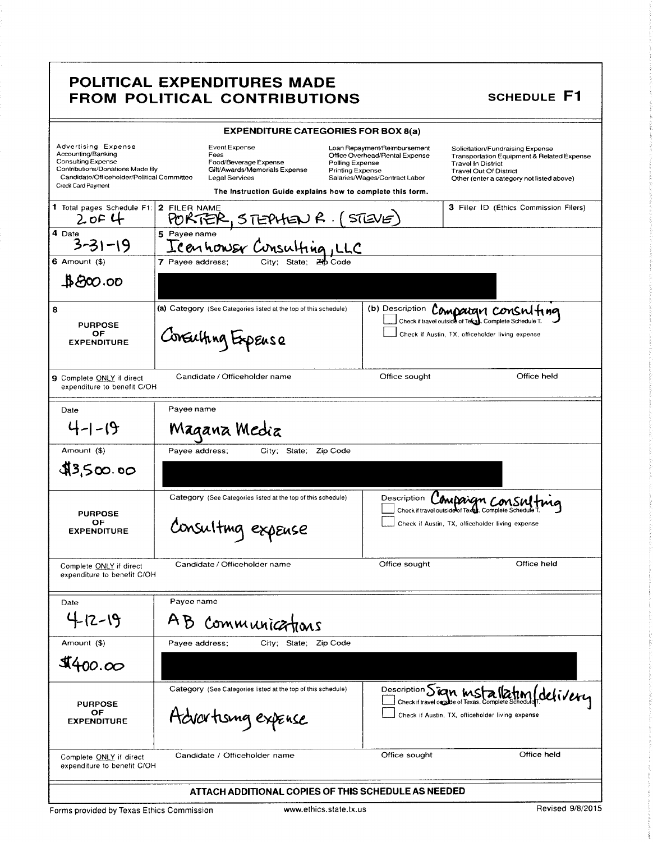#### POLITICAL EXPENDITURES MADE FROM POLITICAL CONTRIBUTIONS

|                                                                                                                                                                         | <b>EXPENDITURE CATEGORIES FOR BOX 8(a)</b>                                                                                                                                   |                                                                                                                                               |                                                                                                                                                                                                      |
|-------------------------------------------------------------------------------------------------------------------------------------------------------------------------|------------------------------------------------------------------------------------------------------------------------------------------------------------------------------|-----------------------------------------------------------------------------------------------------------------------------------------------|------------------------------------------------------------------------------------------------------------------------------------------------------------------------------------------------------|
| Advertising Expense<br>Accounting/Banking<br>Consulting Expense<br>Contributions/Donations Made By<br>Candidate/Officeholder/Political Committee<br>Credit Card Payment | <b>Event Expense</b><br>Fees<br>Food/Beverage Expense<br>Gift/Awards/Memorials Expense<br><b>Legal Services</b><br>The Instruction Guide explains how to complete this form. | Loan Repayment/Reimbursement<br>Office Overhead/Rental Expense<br>Polling Expense<br><b>Printing Expense</b><br>Salaries/Wages/Contract Labor | Solicitation/Fundraising Expense<br><b>Transportation Equipment &amp; Related Expense</b><br><b>Travel In District</b><br><b>Travel Out Of District</b><br>Other (enter a category not listed above) |
| 1 Total pages Schedule F1:<br>2 of 4                                                                                                                                    | 2 FILER NAME<br>PORTER                                                                                                                                                       | STEVE                                                                                                                                         | 3 Filer ID (Ethics Commission Filers)                                                                                                                                                                |
| 4 Date                                                                                                                                                                  | 5 Payee name<br>Icannower Cunsulting, LLC                                                                                                                                    |                                                                                                                                               |                                                                                                                                                                                                      |
| $6$ Amount $(5)$                                                                                                                                                        | 7 Payee address:                                                                                                                                                             |                                                                                                                                               |                                                                                                                                                                                                      |
| $\clubsuit$ 800.00                                                                                                                                                      |                                                                                                                                                                              |                                                                                                                                               |                                                                                                                                                                                                      |
| 8<br><b>PURPOSE</b><br>OF<br><b>EXPENDITURE</b>                                                                                                                         | (a) Category (See Categories listed at the top of this schedule)<br>Consulting Expense                                                                                       | (b) Description                                                                                                                               | Compargn consulting<br>Check if travel outside of Tekay. Complete Schedule T.<br>Check if Austin, TX, officeholder living expense                                                                    |
| 9 Complete ONLY if direct<br>expenditure to benefit C/OH                                                                                                                | Candidate / Officeholder name                                                                                                                                                | Office sought                                                                                                                                 | Office held                                                                                                                                                                                          |
| Date                                                                                                                                                                    | Payee name                                                                                                                                                                   |                                                                                                                                               |                                                                                                                                                                                                      |
| $4 - 1 - 19$                                                                                                                                                            | Magana Media                                                                                                                                                                 |                                                                                                                                               |                                                                                                                                                                                                      |
| Amount (\$)                                                                                                                                                             | City; State;<br>Zip Code<br>Payee address;                                                                                                                                   |                                                                                                                                               |                                                                                                                                                                                                      |
| \$3,500.00                                                                                                                                                              |                                                                                                                                                                              |                                                                                                                                               |                                                                                                                                                                                                      |
| <b>PURPOSE</b><br>ОF<br><b>EXPENDITURE</b>                                                                                                                              | Category (See Categories listed at the top of this schedule)<br>Consulting expense                                                                                           | Description                                                                                                                                   | Compaign consu<br>Check if travel outside of Texas. Complete Sched<br>Check if Austin, TX, officeholder living expense                                                                               |
| Complete ONLY if direct<br>expenditure to benefit C/OH                                                                                                                  | Candidate / Officeholder name                                                                                                                                                | Office sought                                                                                                                                 | Office held                                                                                                                                                                                          |
| Date                                                                                                                                                                    | Payee name                                                                                                                                                                   |                                                                                                                                               |                                                                                                                                                                                                      |
| $4 - 12 - 19$                                                                                                                                                           | AB<br>Communications                                                                                                                                                         |                                                                                                                                               |                                                                                                                                                                                                      |
| Amount (\$)                                                                                                                                                             | Pavee address:<br>City; State: Zip Code                                                                                                                                      |                                                                                                                                               |                                                                                                                                                                                                      |
| \$400.00                                                                                                                                                                |                                                                                                                                                                              |                                                                                                                                               |                                                                                                                                                                                                      |
| <b>PURPOSE</b><br>ОF<br><b>EXPENDITURE</b>                                                                                                                              | Category (See Categories listed at the top of this schedule)<br>Advartising expense                                                                                          | Description Sian MS                                                                                                                           | delivery<br>Check if travel outside of Texas. Complete Schedule<br>Check if Austin, TX, officeholder living expense                                                                                  |
| Complete ONLY if direct<br>expenditure to benefit C/OH                                                                                                                  | Candidate / Officeholder name                                                                                                                                                | Office sought                                                                                                                                 | Office held                                                                                                                                                                                          |
|                                                                                                                                                                         | ATTACH ADDITIONAL COPIES OF THIS SCHEDULE AS NEEDED                                                                                                                          |                                                                                                                                               |                                                                                                                                                                                                      |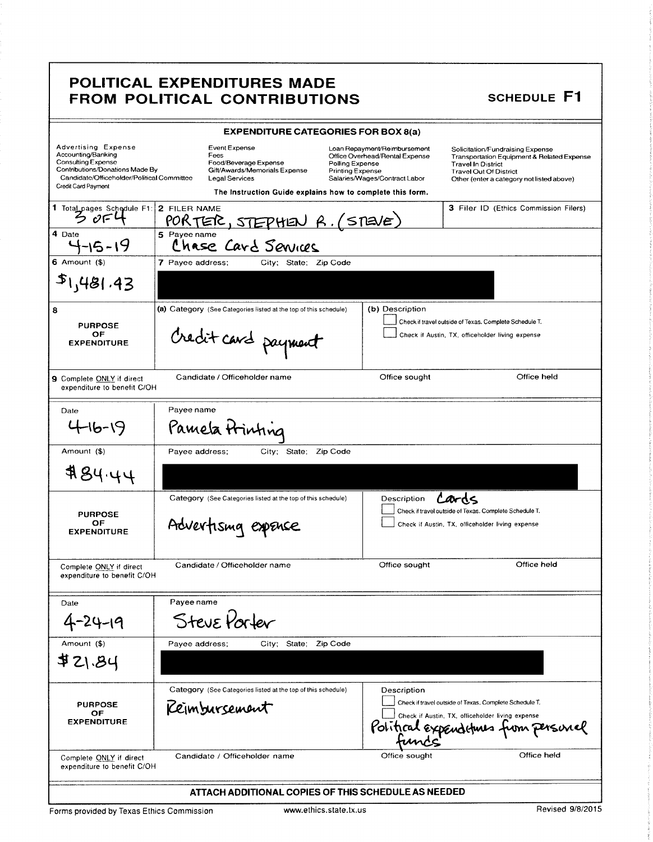#### POLITICAL EXPENDITURES MADE FROM POLITICAL CONTRIBUTIONS

|                                                                                                                                                                                       | <b>EXPENDITURE CATEGORIES FOR BOX 8(a)</b>                                                                                                                            |                                                                                                                                        |                                                                                                                                                                                           |
|---------------------------------------------------------------------------------------------------------------------------------------------------------------------------------------|-----------------------------------------------------------------------------------------------------------------------------------------------------------------------|----------------------------------------------------------------------------------------------------------------------------------------|-------------------------------------------------------------------------------------------------------------------------------------------------------------------------------------------|
| <b>Advertising Expense</b><br>Accounting/Banking<br><b>Consulting Expense</b><br>Contributions/Donations Made By<br>Candidate/Officeholder/Political Committee<br>Credit Card Payment | Event Expense<br>Fees<br>Food/Beverage Expense<br>Gift/Awards/Memorials Expense<br><b>Legal Services</b><br>The Instruction Guide explains how to complete this form. | Loan Repayment/Reimbursement<br>Office Overhead/Rental Expense<br>Polling Expense<br>Printing Expense<br>Salaries/Wages/Contract Labor | Solicitation/Fundraising Expense<br>Transportation Equipment & Related Expense<br><b>Travel In District</b><br><b>Travel Out Of District</b><br>Other (enter a category not listed above) |
| 1 Total pages Schedule F1: 2 FILER NAME<br>$\mathcal{O}$ FL                                                                                                                           | <u>PORTER, STEPHEN R. (STEVE)</u>                                                                                                                                     |                                                                                                                                        | 3 Filer ID (Ethics Commission Filers)                                                                                                                                                     |
| 4 Date<br>-15-19                                                                                                                                                                      | 5 Pavee name<br>Chase Card Senices                                                                                                                                    |                                                                                                                                        |                                                                                                                                                                                           |
| $6$ Amount $(6)$                                                                                                                                                                      | 7 Payee address:<br>City; State; Zip Code                                                                                                                             |                                                                                                                                        |                                                                                                                                                                                           |
| $s_1$ ,481.43                                                                                                                                                                         |                                                                                                                                                                       |                                                                                                                                        |                                                                                                                                                                                           |
| 8                                                                                                                                                                                     | (a) Category (See Categories listed at the top of this schedule)                                                                                                      | (b) Description                                                                                                                        |                                                                                                                                                                                           |
| <b>PURPOSE</b><br>OF<br><b>EXPENDITURE</b>                                                                                                                                            | Credit card payment                                                                                                                                                   |                                                                                                                                        | Check if travel outside of Texas. Complete Schedule T.<br>Check if Austin, TX, officeholder living expense                                                                                |
| 9 Complete ONLY if direct<br>expenditure to benefit C/OH                                                                                                                              | Candidate / Officeholder name                                                                                                                                         | Office sought                                                                                                                          | Office held                                                                                                                                                                               |
| Date                                                                                                                                                                                  | Payee name                                                                                                                                                            |                                                                                                                                        |                                                                                                                                                                                           |
| 16-19                                                                                                                                                                                 | Pamela Printing                                                                                                                                                       |                                                                                                                                        |                                                                                                                                                                                           |
| Amount (\$)                                                                                                                                                                           | Payee address;<br>City; State; Zip Code                                                                                                                               |                                                                                                                                        |                                                                                                                                                                                           |
| 484.44                                                                                                                                                                                |                                                                                                                                                                       |                                                                                                                                        |                                                                                                                                                                                           |
|                                                                                                                                                                                       | Category (See Categories listed at the top of this schedule)                                                                                                          | Description                                                                                                                            | Cards                                                                                                                                                                                     |
| <b>PURPOSE</b><br>ОF                                                                                                                                                                  |                                                                                                                                                                       |                                                                                                                                        | Check if travel outside of Texas. Complete Schedule T.<br>Check if Austin, TX, officeholder living expense                                                                                |
| <b>EXPENDITURE</b>                                                                                                                                                                    | Advertising expense                                                                                                                                                   |                                                                                                                                        |                                                                                                                                                                                           |
| Complete ONLY if direct<br>expenditure to benefit C/OH                                                                                                                                | Candidate / Officeholder name                                                                                                                                         | Office sought                                                                                                                          | Office held                                                                                                                                                                               |
| Date                                                                                                                                                                                  | Payee name                                                                                                                                                            |                                                                                                                                        |                                                                                                                                                                                           |
| 4-24-19                                                                                                                                                                               | Steve Porter                                                                                                                                                          |                                                                                                                                        |                                                                                                                                                                                           |
| Amount (\$)                                                                                                                                                                           | Payee address;<br>City; State:                                                                                                                                        | Zip Code                                                                                                                               |                                                                                                                                                                                           |
| \$21.84                                                                                                                                                                               |                                                                                                                                                                       |                                                                                                                                        |                                                                                                                                                                                           |
|                                                                                                                                                                                       | Category (See Categories listed at the top of this schedule)                                                                                                          | Description                                                                                                                            |                                                                                                                                                                                           |
| <b>PURPOSE</b><br>ОF                                                                                                                                                                  | Keimbursement                                                                                                                                                         |                                                                                                                                        | Check if travel outside of Texas, Complete Schedule T.<br>Check if Austin, TX, officeholder living expense                                                                                |
| <b>EXPENDITURE</b>                                                                                                                                                                    |                                                                                                                                                                       | Politica                                                                                                                               | om Persincl                                                                                                                                                                               |
| Complete ONLY if direct<br>expenditure to benefit C/OH                                                                                                                                | Candidate / Officeholder name                                                                                                                                         | Office sought                                                                                                                          | Office held                                                                                                                                                                               |
|                                                                                                                                                                                       | ATTACH ADDITIONAL COPIES OF THIS SCHEDULE AS NEEDED                                                                                                                   |                                                                                                                                        |                                                                                                                                                                                           |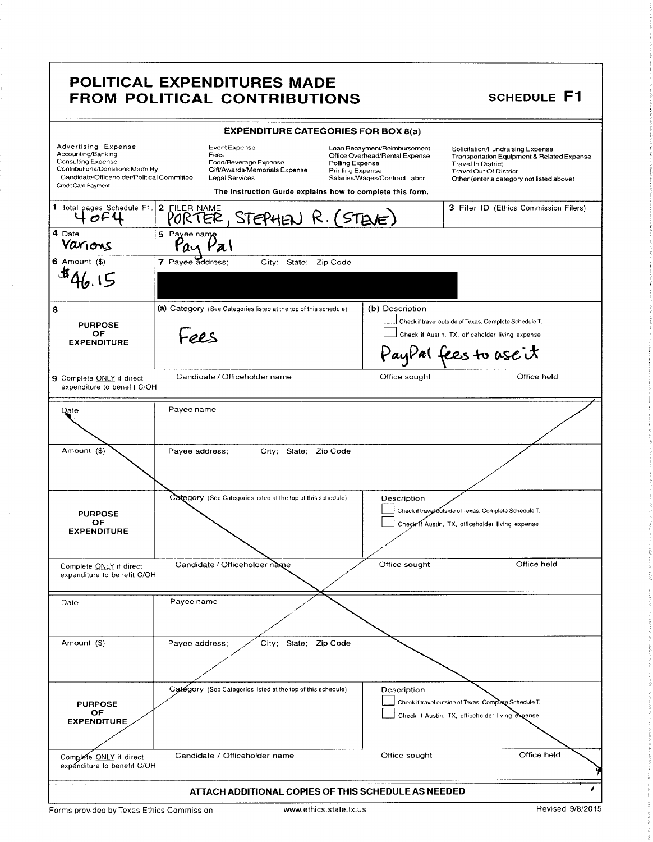#### POLITICAL EXPENDITURES MADE FROM POLITICAL CONTRIBUTIONS SCHEDULE F1

|                                                                                                                                                                                       | <b>EXPENDITURE CATEGORIES FOR BOX 8(a)</b>                                                                                                                     |                                                                                                                                               |                                                                                                                                                                                           |
|---------------------------------------------------------------------------------------------------------------------------------------------------------------------------------------|----------------------------------------------------------------------------------------------------------------------------------------------------------------|-----------------------------------------------------------------------------------------------------------------------------------------------|-------------------------------------------------------------------------------------------------------------------------------------------------------------------------------------------|
| <b>Advertising Expense</b><br>Accounting/Banking<br><b>Consulting Expense</b><br>Contributions/Donations Made By<br>Candidate/Officeholder/Political Committee<br>Credit Card Payment | Event Expense<br>Fees<br>Food/Beverage Expense<br>Gift/Awards/Memorials Expense<br>Legal Services<br>The Instruction Guide explains how to complete this form. | Loan Repayment/Reimbursement<br>Office Overhead/Rental Expense<br>Polling Expense<br><b>Printing Expense</b><br>Salaries/Wages/Contract Labor | Solicitation/Fundraising Expense<br>Transportation Equipment & Related Expense<br><b>Travel In District</b><br><b>Travel Out Of District</b><br>Other (enter a category not listed above) |
| 1 Total pages Schedule F1:                                                                                                                                                            | 2 FILER NAME<br>PORTER, STEPHEN R. (STEVE)                                                                                                                     |                                                                                                                                               | 3 Filer ID (Ethics Commission Filers)                                                                                                                                                     |
| 4 Date<br>Varions                                                                                                                                                                     | 5 Payee name                                                                                                                                                   |                                                                                                                                               |                                                                                                                                                                                           |
| $6$ Amount $($ )                                                                                                                                                                      | 7 Payee address;<br>City; State; Zip Code                                                                                                                      |                                                                                                                                               |                                                                                                                                                                                           |
| 8<br><b>PURPOSE</b><br>OF<br><b>EXPENDITURE</b>                                                                                                                                       | (a) Category (See Categories listed at the top of this schedule)<br>LORS                                                                                       | (b) Description                                                                                                                               | Check if travel outside of Texas. Complete Schedule T.<br>Check if Austin, TX, officeholder living expense<br>PayPal fees to use it                                                       |
| <b>9</b> Complete ONLY if direct<br>expenditure to benefit C/OH                                                                                                                       | Candidate / Officeholder name                                                                                                                                  | Office sought                                                                                                                                 | Office held                                                                                                                                                                               |
| <b>Date</b>                                                                                                                                                                           | Payee name                                                                                                                                                     |                                                                                                                                               |                                                                                                                                                                                           |
| Amount (\$)                                                                                                                                                                           | Payee address;<br>City; State; Zip Code                                                                                                                        |                                                                                                                                               |                                                                                                                                                                                           |
| <b>PURPOSE</b><br>ОF<br><b>EXPENDITURE</b>                                                                                                                                            | Category (See Categories listed at the top of this schedule)                                                                                                   | Description                                                                                                                                   | Check if travel outside of Texas. Complete Schedule T.<br>Check if Austin, TX, officeholder living expense                                                                                |
| Complete ONLY if direct<br>expenditure to benefit C/OH                                                                                                                                | Candidate / Officeholder name                                                                                                                                  | Office sought                                                                                                                                 | Office held                                                                                                                                                                               |
| Date                                                                                                                                                                                  | Payee name                                                                                                                                                     |                                                                                                                                               |                                                                                                                                                                                           |
| Amount (\$)                                                                                                                                                                           | Payee address;<br>City; State; Zip Code                                                                                                                        |                                                                                                                                               |                                                                                                                                                                                           |
| <b>PURPOSE</b><br><b>OF</b><br><b>EXPENDITURE</b>                                                                                                                                     | Category (See Categories listed at the top of this schedule)                                                                                                   | Description                                                                                                                                   | Check if travel outside of Texas, Complete Schedule T.<br>Check if Austin, TX, officeholder living expense                                                                                |
| Complete ONLY if direct<br>expenditure to benefit C/OH                                                                                                                                | Candidate / Officeholder name                                                                                                                                  | Office sought                                                                                                                                 | Office held                                                                                                                                                                               |
|                                                                                                                                                                                       | ATTACH ADDITIONAL COPIES OF THIS SCHEDULE AS NEEDED                                                                                                            |                                                                                                                                               |                                                                                                                                                                                           |

Forms provided by Texas Ethics Commission www.ethics.state.tx.us Revised 9/8/2015

 $\frac{1}{3}$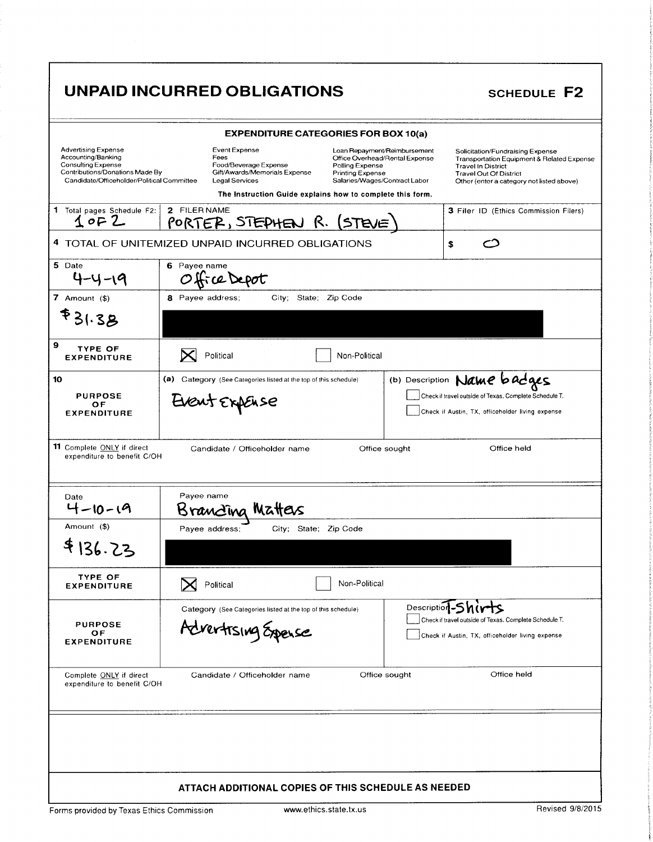# UNPAID INCURRED OBLIGATIONS SCHEDULE F2

|                                                                                                                                                         | <b>EXPENDITURE CATEGORIES FOR BOX 10(a)</b>                                                                                 |                                                                                                                                               |                                                                                                                                                                                           |
|---------------------------------------------------------------------------------------------------------------------------------------------------------|-----------------------------------------------------------------------------------------------------------------------------|-----------------------------------------------------------------------------------------------------------------------------------------------|-------------------------------------------------------------------------------------------------------------------------------------------------------------------------------------------|
| <b>Advertising Expense</b><br>Accounting/Banking<br>Consulting Expense<br>Contributions/Donations Made By<br>Candidate/Officeholder/Political Committee | Event Expense<br>Fees<br>Food/Beverage Expense<br>Gift/Awards/Memorials Expense<br><b>Legal Services</b>                    | Loan Repayment/Reimbursement<br>Office Overhead/Rental Expense<br>Polling Expense<br><b>Printing Expense</b><br>Salaries/Wages/Contract Labor | Solicitation/Fundraising Expense<br>Transportation Equipment & Related Expense<br><b>Travel In District</b><br><b>Travel Out Of District</b><br>Other (enter a category not listed above) |
|                                                                                                                                                         | The Instruction Guide explains how to complete this form.                                                                   |                                                                                                                                               |                                                                                                                                                                                           |
| 1 Total pages Schedule F2:<br>1 of 2                                                                                                                    | 2 FILER NAME<br>PORTER, STEPHEN R. (STEVE)                                                                                  |                                                                                                                                               | 3 Filer ID (Ethics Commission Filers)                                                                                                                                                     |
|                                                                                                                                                         | 4 TOTAL OF UNITEMIZED UNPAID INCURRED OBLIGATIONS                                                                           |                                                                                                                                               | \$                                                                                                                                                                                        |
| 5 Date<br>4-4-19                                                                                                                                        | 6 Payee name<br>OfficeDepot                                                                                                 |                                                                                                                                               |                                                                                                                                                                                           |
| 7 Amount $($)$                                                                                                                                          | 8 Payee address;<br>City, State; Zip Code                                                                                   |                                                                                                                                               |                                                                                                                                                                                           |
| <b>F31.3B</b>                                                                                                                                           |                                                                                                                             |                                                                                                                                               |                                                                                                                                                                                           |
| 9<br><b>TYPE OF</b><br><b>EXPENDITURE</b>                                                                                                               | Political                                                                                                                   | Non-Political                                                                                                                                 |                                                                                                                                                                                           |
| 10                                                                                                                                                      | (a) Category (See Categories listed at the top of this schedule)                                                            |                                                                                                                                               | (b) Description Name badges                                                                                                                                                               |
| <b>PURPOSE</b><br>ΟF<br><b>EXPENDITURE</b>                                                                                                              | Check if travel outside of Texas, Complete Schedule T.<br>Event ExpEnse<br>Check if Austin, TX, officeholder living expense |                                                                                                                                               |                                                                                                                                                                                           |
| 11 Complete ONLY if direct<br>expenditure to benefit C/OH<br>Date<br>$4 - 10 - 19$                                                                      | Candidate / Officeholder name<br>Payee name<br>Brancina Matteus                                                             | Office sought                                                                                                                                 |                                                                                                                                                                                           |
| Amount (\$)                                                                                                                                             | City; State; Zip Code<br>Payee address;                                                                                     |                                                                                                                                               |                                                                                                                                                                                           |
| \$136.23                                                                                                                                                |                                                                                                                             |                                                                                                                                               |                                                                                                                                                                                           |
| <b>TYPE OF</b><br><b>EXPENDITURE</b>                                                                                                                    | Political                                                                                                                   | Non-Political                                                                                                                                 |                                                                                                                                                                                           |
| <b>PURPOSE</b><br>OF<br><b>EXPENDITURE</b>                                                                                                              | Category (See Categories listed at the top of this schedule)<br>Advertising Expense                                         | Description                                                                                                                                   | Check if travel outside of Texas. Complete Schedule T.<br>Check if Austin, TX, officeholder living expense                                                                                |
| Complete ONLY if direct<br>expenditure to benefit C/OH                                                                                                  | Candidate / Officeholder name                                                                                               | Office sought                                                                                                                                 | Office held                                                                                                                                                                               |
|                                                                                                                                                         |                                                                                                                             |                                                                                                                                               |                                                                                                                                                                                           |
|                                                                                                                                                         | ATTACH ADDITIONAL COPIES OF THIS SCHEDULE AS NEEDED                                                                         |                                                                                                                                               |                                                                                                                                                                                           |
| Forms provided by Texas Ethics Commission                                                                                                               | www.ethics.state.tx.us                                                                                                      |                                                                                                                                               | Revised 9/8/2015                                                                                                                                                                          |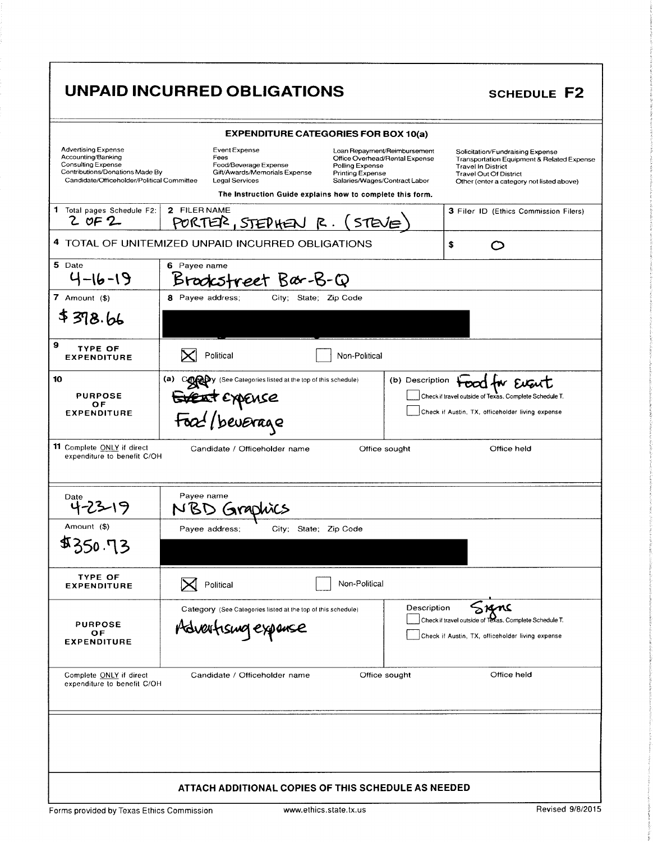# UNPAID INCURRED OBLIGATIONS

| <b>EXPENDITURE CATEGORIES FOR BOX 10(a)</b>                                                                                                             |                                                                                                                                                                       |                                                                                                                                               |                                                                                                                                                                                           |  |  |  |
|---------------------------------------------------------------------------------------------------------------------------------------------------------|-----------------------------------------------------------------------------------------------------------------------------------------------------------------------|-----------------------------------------------------------------------------------------------------------------------------------------------|-------------------------------------------------------------------------------------------------------------------------------------------------------------------------------------------|--|--|--|
| <b>Advertising Expense</b><br>Accounting/Banking<br>Consulting Expense<br>Contributions/Donations Made By<br>Candidate/Officeholder/Political Committee | Event Expense<br>Fees<br>Food/Beverage Expense<br>Gift/Awards/Memorials Expense<br><b>Legal Services</b><br>The Instruction Guide explains how to complete this form. | Loan Repayment/Reimbursement<br>Office Overhead/Rental Expense<br>Polling Expense<br><b>Printing Expense</b><br>Salaries/Wages/Contract Labor | Solicitation/Fundraising Expense<br>Transportation Equipment & Related Expense<br><b>Travel In District</b><br><b>Travel Out Of District</b><br>Other (enter a category not listed above) |  |  |  |
| 1 Total pages Schedule F2:                                                                                                                              | 2 FILER NAME                                                                                                                                                          |                                                                                                                                               | 3 Filer ID (Ethics Commission Filers)                                                                                                                                                     |  |  |  |
| 2 OF 2                                                                                                                                                  | PORTER, STEPHEN R. (STEVE)                                                                                                                                            |                                                                                                                                               |                                                                                                                                                                                           |  |  |  |
|                                                                                                                                                         | 4 TOTAL OF UNITEMIZED UNPAID INCURRED OBLIGATIONS<br>\$                                                                                                               |                                                                                                                                               |                                                                                                                                                                                           |  |  |  |
| 5 Date<br>$4 - 16 - 19$                                                                                                                                 | 6 Payee name<br>Brookstreet Bar-B-Q                                                                                                                                   |                                                                                                                                               |                                                                                                                                                                                           |  |  |  |
| 7 Amount (\$)                                                                                                                                           | 8 Payee address;<br>City; State; Zip Code                                                                                                                             |                                                                                                                                               |                                                                                                                                                                                           |  |  |  |
| \$378.66                                                                                                                                                |                                                                                                                                                                       |                                                                                                                                               |                                                                                                                                                                                           |  |  |  |
| 9<br><b>TYPE OF</b><br><b>EXPENDITURE</b>                                                                                                               | Political<br>Non-Political                                                                                                                                            |                                                                                                                                               |                                                                                                                                                                                           |  |  |  |
| 10                                                                                                                                                      | (a)<br>Company (See Calegories listed at the top of this schedule)                                                                                                    | (b) Description                                                                                                                               | tood for Eugust                                                                                                                                                                           |  |  |  |
| <b>PURPOSE</b><br>ОF                                                                                                                                    |                                                                                                                                                                       |                                                                                                                                               | Check if travel outside of Texas. Complete Schedule T.                                                                                                                                    |  |  |  |
| <b>EXPENDITURE</b>                                                                                                                                      | Event Expense<br>Food / beverage                                                                                                                                      |                                                                                                                                               | Check if Austin, TX, officeholder living expense                                                                                                                                          |  |  |  |
| 11 Complete ONLY if direct<br>Office held<br>Candidate / Officeholder name<br>Office sought<br>expenditure to benefit C/OH                              |                                                                                                                                                                       |                                                                                                                                               |                                                                                                                                                                                           |  |  |  |
| Date                                                                                                                                                    | Payee name<br>NBD<br>(JNAC                                                                                                                                            |                                                                                                                                               |                                                                                                                                                                                           |  |  |  |
| Amount (\$)                                                                                                                                             | State; Zip Code<br>Payee address;<br>City;                                                                                                                            |                                                                                                                                               |                                                                                                                                                                                           |  |  |  |
| <b>\$350.73</b>                                                                                                                                         |                                                                                                                                                                       |                                                                                                                                               |                                                                                                                                                                                           |  |  |  |
| <b>TYPE OF</b><br><b>EXPENDITURE</b>                                                                                                                    | Non-Political<br>Political                                                                                                                                            |                                                                                                                                               |                                                                                                                                                                                           |  |  |  |
|                                                                                                                                                         | Category (See Calegories listed at the top of this schedule)                                                                                                          | Description                                                                                                                                   | rans                                                                                                                                                                                      |  |  |  |
| <b>PURPOSE</b><br>ОF                                                                                                                                    | Advertising expense                                                                                                                                                   |                                                                                                                                               | Check if travel outside of Texas. Complete Schedule T.<br>Check if Austin, TX, officeholder living expense                                                                                |  |  |  |
| <b>EXPENDITURE</b>                                                                                                                                      |                                                                                                                                                                       |                                                                                                                                               |                                                                                                                                                                                           |  |  |  |
| Office held<br>Complete ONLY if direct<br>Candidate / Officeholder name<br>Office sought<br>expenditure to benefit C/OH                                 |                                                                                                                                                                       |                                                                                                                                               |                                                                                                                                                                                           |  |  |  |
|                                                                                                                                                         |                                                                                                                                                                       |                                                                                                                                               |                                                                                                                                                                                           |  |  |  |
|                                                                                                                                                         |                                                                                                                                                                       |                                                                                                                                               |                                                                                                                                                                                           |  |  |  |
|                                                                                                                                                         |                                                                                                                                                                       |                                                                                                                                               |                                                                                                                                                                                           |  |  |  |
|                                                                                                                                                         |                                                                                                                                                                       |                                                                                                                                               |                                                                                                                                                                                           |  |  |  |
|                                                                                                                                                         |                                                                                                                                                                       |                                                                                                                                               |                                                                                                                                                                                           |  |  |  |
|                                                                                                                                                         | <b>ATTACH ADDITIONAL COPIES OF THIS SCHEDULE AS NEEDED</b>                                                                                                            |                                                                                                                                               |                                                                                                                                                                                           |  |  |  |
| Revised 9/8/2015<br>www.ethics.state.tx.us<br>Forms provided by Texas Ethics Commission                                                                 |                                                                                                                                                                       |                                                                                                                                               |                                                                                                                                                                                           |  |  |  |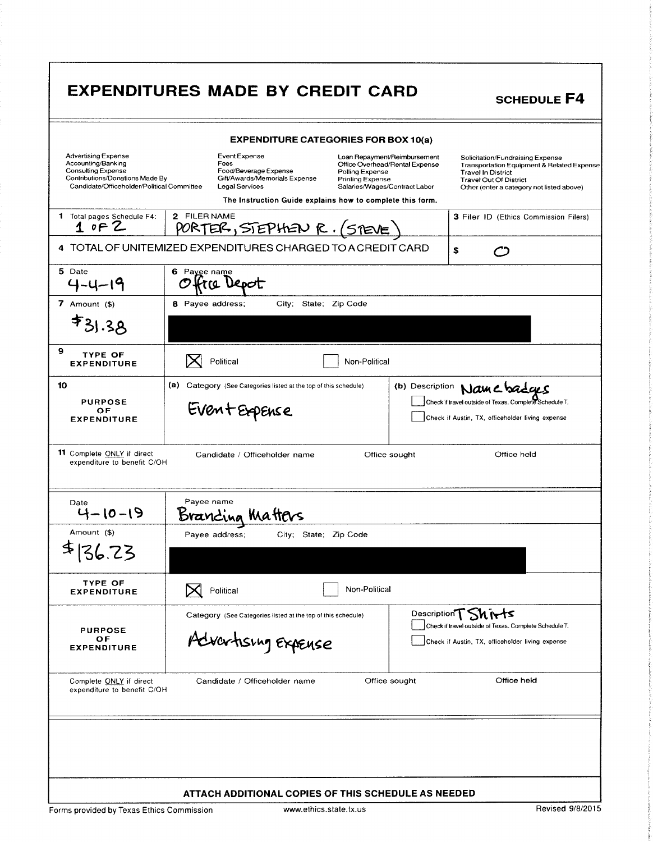|                                                                                                                                                                                                                                                                                                                                                                            | <b>EXPENDITURES MADE BY CREDIT CARD</b>                                                                                                                                                                                                                                                                                | <b>SCHEDULE F4</b>                                                                                                                                                                        |  |  |  |
|----------------------------------------------------------------------------------------------------------------------------------------------------------------------------------------------------------------------------------------------------------------------------------------------------------------------------------------------------------------------------|------------------------------------------------------------------------------------------------------------------------------------------------------------------------------------------------------------------------------------------------------------------------------------------------------------------------|-------------------------------------------------------------------------------------------------------------------------------------------------------------------------------------------|--|--|--|
| <b>EXPENDITURE CATEGORIES FOR BOX 10(a)</b>                                                                                                                                                                                                                                                                                                                                |                                                                                                                                                                                                                                                                                                                        |                                                                                                                                                                                           |  |  |  |
| <b>Advertising Expense</b><br>Accounting/Banking<br>Consulting Expense<br>Contributions/Donations Made By<br>Candidate/Officeholder/Political Committee                                                                                                                                                                                                                    | Event Expense<br>Loan Repayment/Reimbursement<br>Fees<br>Office Overhead/Rental Expense<br>Food/Beverage Expense<br>Polling Expense<br>Gift/Awards/Memorials Expense<br><b>Printing Expense</b><br><b>Legal Services</b><br>Salaries/Wages/Contract Labor<br>The Instruction Guide explains how to complete this form. | Solicitation/Fundraising Expense<br>Transportation Equipment & Related Expense<br><b>Travel In District</b><br><b>Travel Out Of District</b><br>Other (enter a category not listed above) |  |  |  |
| 1 Total pages Schedule F4:<br>10F2                                                                                                                                                                                                                                                                                                                                         | 2 FILER NAME<br><u> PORTER, STEPHEN R. (STEVE)</u>                                                                                                                                                                                                                                                                     | 3 Filer ID (Ethics Commission Filers)                                                                                                                                                     |  |  |  |
|                                                                                                                                                                                                                                                                                                                                                                            | 4 TOTAL OF UNITEMIZED EXPENDITURES CHARGED TO A CREDIT CARD                                                                                                                                                                                                                                                            | \$                                                                                                                                                                                        |  |  |  |
| 5 Date<br>$4 - 4 - 19$                                                                                                                                                                                                                                                                                                                                                     | 6 Payee name<br>træ Depot                                                                                                                                                                                                                                                                                              |                                                                                                                                                                                           |  |  |  |
| 7 Amount $($)$<br>$*31.38$                                                                                                                                                                                                                                                                                                                                                 | 8 Payee address;<br>City;<br>State; Zip Code                                                                                                                                                                                                                                                                           |                                                                                                                                                                                           |  |  |  |
| 9<br><b>TYPE OF</b><br><b>EXPENDITURE</b>                                                                                                                                                                                                                                                                                                                                  | Political<br>Non-Political                                                                                                                                                                                                                                                                                             |                                                                                                                                                                                           |  |  |  |
| 10<br><b>PURPOSE</b><br>OF<br><b>EXPENDITURE</b>                                                                                                                                                                                                                                                                                                                           | (a) Category (See Categories listed at the top of this schedule)<br>Event Expense                                                                                                                                                                                                                                      | (b) Description Name badages<br>Check if travel outside of Texas. Complete Schedule T.<br>Check if Austin, TX, officeholder living expense                                                |  |  |  |
| 11 Complete ONLY if direct                                                                                                                                                                                                                                                                                                                                                 | Candidate / Officeholder name<br>Office sought<br>Office held<br>expenditure to benefit C/OH                                                                                                                                                                                                                           |                                                                                                                                                                                           |  |  |  |
| Date<br>4-10-19                                                                                                                                                                                                                                                                                                                                                            | Payee name<br><u>Branding Matters</u>                                                                                                                                                                                                                                                                                  |                                                                                                                                                                                           |  |  |  |
| Amount (\$)<br>\$136.23                                                                                                                                                                                                                                                                                                                                                    | City; State; Zip Code<br>Payee address;                                                                                                                                                                                                                                                                                |                                                                                                                                                                                           |  |  |  |
| <b>TYPE OF</b><br><b>EXPENDITURE</b>                                                                                                                                                                                                                                                                                                                                       | Non-Political<br>Political                                                                                                                                                                                                                                                                                             |                                                                                                                                                                                           |  |  |  |
| <b>PURPOSE</b><br>OF<br><b>EXPENDITURE</b>                                                                                                                                                                                                                                                                                                                                 | Category (See Categories listed at the top of this schedule)<br>Advartising Expense                                                                                                                                                                                                                                    | Description T Shirts<br>Check if travel outside of Texas. Complete Schedule T.<br>Check if Austin, TX, officeholder living expense                                                        |  |  |  |
| Complete ONLY if direct<br>expenditure to benefit C/OH                                                                                                                                                                                                                                                                                                                     | Candidate / Officeholder name<br>Office sought                                                                                                                                                                                                                                                                         | Office held                                                                                                                                                                               |  |  |  |
|                                                                                                                                                                                                                                                                                                                                                                            |                                                                                                                                                                                                                                                                                                                        |                                                                                                                                                                                           |  |  |  |
| ATTACH ADDITIONAL COPIES OF THIS SCHEDULE AS NEEDED<br>$\frac{1}{2}$ $\frac{1}{2}$ $\frac{1}{2}$ $\frac{1}{2}$ $\frac{1}{2}$ $\frac{1}{2}$ $\frac{1}{2}$ $\frac{1}{2}$ $\frac{1}{2}$ $\frac{1}{2}$ $\frac{1}{2}$ $\frac{1}{2}$ $\frac{1}{2}$ $\frac{1}{2}$ $\frac{1}{2}$ $\frac{1}{2}$ $\frac{1}{2}$ $\frac{1}{2}$ $\frac{1}{2}$ $\frac{1}{2}$ $\frac{1}{2}$ $\frac{1}{2}$ |                                                                                                                                                                                                                                                                                                                        |                                                                                                                                                                                           |  |  |  |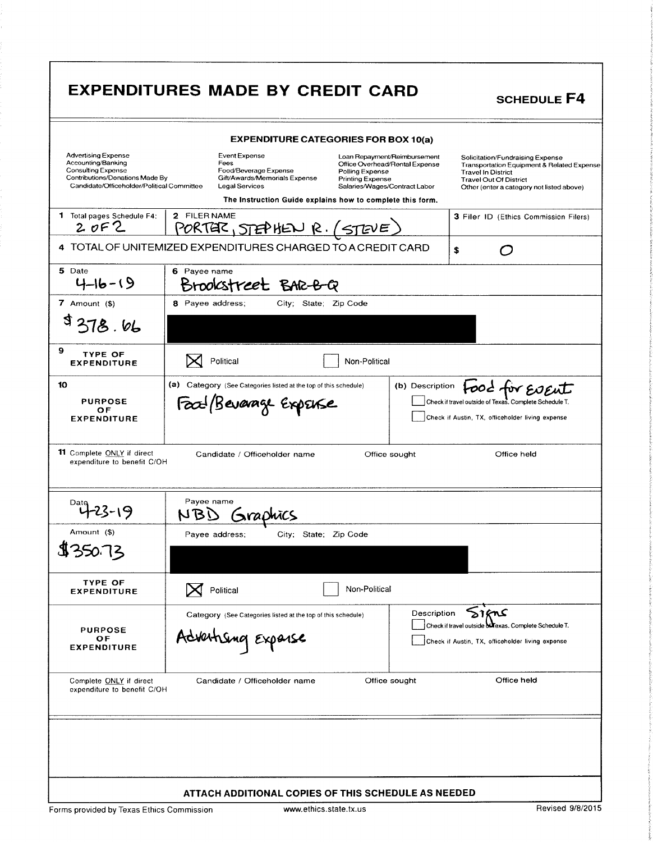|                                                                                                                                                                | <b>EXPENDITURES MADE BY CREDIT CARD</b>                                                                         |                                                                                                                                               | <b>SCHEDULE F4</b>                                                                                                                                                                        |
|----------------------------------------------------------------------------------------------------------------------------------------------------------------|-----------------------------------------------------------------------------------------------------------------|-----------------------------------------------------------------------------------------------------------------------------------------------|-------------------------------------------------------------------------------------------------------------------------------------------------------------------------------------------|
|                                                                                                                                                                |                                                                                                                 | <b>EXPENDITURE CATEGORIES FOR BOX 10(a)</b>                                                                                                   |                                                                                                                                                                                           |
| <b>Advertising Expense</b><br>Accounting/Banking<br><b>Consulting Expense</b><br>Contributions/Donations Made By<br>Candidate/Officeholder/Political Committee | <b>Event Expense</b><br>Fees<br>Food/Beverage Expense<br>Gift/Awards/Memorials Expense<br><b>Legal Services</b> | Loan Repayment/Reimbursement<br>Office Overhead/Rental Expense<br>Polling Expense<br><b>Printing Expense</b><br>Salaries/Wages/Contract Labor | Solicitation/Fundraising Expense<br>Transportation Equipment & Related Expense<br><b>Travel In District</b><br><b>Travel Out Of District</b><br>Other (enter a category not listed above) |
| 1 Total pages Schedule F4:<br>20F2                                                                                                                             | 2 FILER NAME<br><u>PORTER, STEPHEN R. (STEVE)</u>                                                               | The Instruction Guide explains how to complete this form.                                                                                     | 3 Filer ID (Ethics Commission Filers)                                                                                                                                                     |
| 4                                                                                                                                                              | TOTAL OF UNITEMIZED EXPENDITURES CHARGED TO A CREDIT CARD                                                       |                                                                                                                                               | \$<br>r J                                                                                                                                                                                 |
| 5 Date<br>$4 - 16 - 19$                                                                                                                                        | 6 Payee name<br>Brookstreet BAR-B                                                                               |                                                                                                                                               |                                                                                                                                                                                           |
| 7 Amount $($)$<br>\$378.66                                                                                                                                     | 8 Payee address;                                                                                                | City; State; Zip Code                                                                                                                         |                                                                                                                                                                                           |
| 9<br><b>TYPE OF</b><br><b>EXPENDITURE</b>                                                                                                                      | Political                                                                                                       | Non-Political                                                                                                                                 |                                                                                                                                                                                           |
| 10<br><b>PURPOSE</b><br>OF<br><b>EXPENDITURE</b>                                                                                                               | (a) Category (See Categories listed at the top of this schedule)<br>Food Bevarage ExpENSe                       |                                                                                                                                               | Food for Event<br>(b) Description<br>Check if travel outside of Texas. Complete Schedule T.<br>Check if Austin, TX, officeholder living expense                                           |
| 11 Complete ONLY if direct<br>expenditure to benefit C/OH                                                                                                      | Candidate / Officeholder name<br>Payee name                                                                     | Office sought                                                                                                                                 | Office held                                                                                                                                                                               |
| Amount (\$)                                                                                                                                                    | NBD<br>Graphic<br>Payee address;                                                                                | City; State; Zip Code                                                                                                                         |                                                                                                                                                                                           |
| \$350.73                                                                                                                                                       |                                                                                                                 |                                                                                                                                               |                                                                                                                                                                                           |
| <b>TYPE OF</b><br><b>EXPENDITURE</b>                                                                                                                           | Political                                                                                                       | Non-Political                                                                                                                                 |                                                                                                                                                                                           |
| <b>PURPOSE</b><br>ОF<br><b>EXPENDITURE</b>                                                                                                                     | Category (See Categories listed at the top of this schedule)<br>Advertising Expanse                             |                                                                                                                                               | 51KnS<br>Description<br>Check if travel outside of Texas. Complete Schedule T.<br>Check if Austin, TX, officeholder living expense                                                        |
| Complete ONLY if direct<br>expenditure to benefit C/OH                                                                                                         | Candidate / Officeholder name                                                                                   | Office sought                                                                                                                                 | Office held                                                                                                                                                                               |
|                                                                                                                                                                |                                                                                                                 |                                                                                                                                               |                                                                                                                                                                                           |
|                                                                                                                                                                |                                                                                                                 |                                                                                                                                               |                                                                                                                                                                                           |